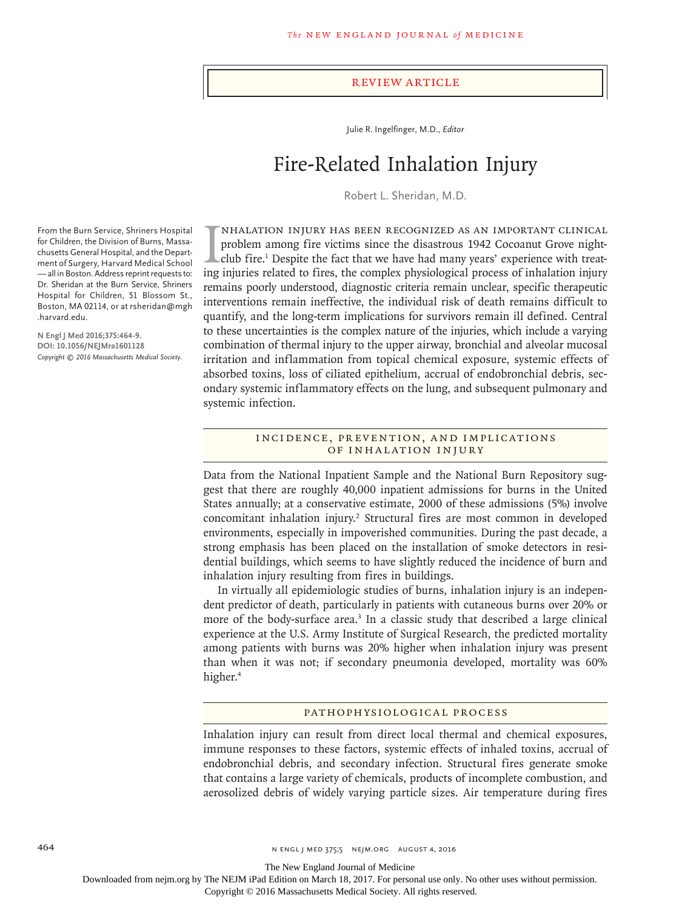#### Review Article

Julie R. Ingelfinger, M.D., *Editor*

# Fire-Related Inhalation Injury

Robert L. Sheridan, M.D.

IMHALATION INJURY HAS BEEN RECOGNIZED AS AN IMPORTANT CLINICAL problem among fire victims since the disastrous 1942 Cocoanut Grove night-club fire.<sup>1</sup> Despite the fact that we have had many years' experience with treating nhalation injury has been recognized as an important clinical problem among fire victims since the disastrous 1942 Cocoanut Grove nightclub fire.<sup>1</sup> Despite the fact that we have had many years' experience with treatremains poorly understood, diagnostic criteria remain unclear, specific therapeutic interventions remain ineffective, the individual risk of death remains difficult to quantify, and the long-term implications for survivors remain ill defined. Central to these uncertainties is the complex nature of the injuries, which include a varying combination of thermal injury to the upper airway, bronchial and alveolar mucosal irritation and inflammation from topical chemical exposure, systemic effects of absorbed toxins, loss of ciliated epithelium, accrual of endobronchial debris, secondary systemic inflammatory effects on the lung, and subsequent pulmonary and systemic infection.

#### INCIDENCE, PREVENTION, AND IMPLICATIONS of Inhalation Injury

Data from the National Inpatient Sample and the National Burn Repository suggest that there are roughly 40,000 inpatient admissions for burns in the United States annually; at a conservative estimate, 2000 of these admissions (5%) involve concomitant inhalation injury.<sup>2</sup> Structural fires are most common in developed environments, especially in impoverished communities. During the past decade, a strong emphasis has been placed on the installation of smoke detectors in residential buildings, which seems to have slightly reduced the incidence of burn and inhalation injury resulting from fires in buildings.

In virtually all epidemiologic studies of burns, inhalation injury is an independent predictor of death, particularly in patients with cutaneous burns over 20% or more of the body-surface area.<sup>3</sup> In a classic study that described a large clinical experience at the U.S. Army Institute of Surgical Research, the predicted mortality among patients with burns was 20% higher when inhalation injury was present than when it was not; if secondary pneumonia developed, mortality was 60% higher.<sup>4</sup>

#### Pathophysiological Process

Inhalation injury can result from direct local thermal and chemical exposures, immune responses to these factors, systemic effects of inhaled toxins, accrual of endobronchial debris, and secondary infection. Structural fires generate smoke that contains a large variety of chemicals, products of incomplete combustion, and aerosolized debris of widely varying particle sizes. Air temperature during fires

From the Burn Service, Shriners Hospital for Children, the Division of Burns, Massachusetts General Hospital, and the Department of Surgery, Harvard Medical School — all in Boston. Address reprint requests to: Dr. Sheridan at the Burn Service, Shriners Hospital for Children, 51 Blossom St., Boston, MA 02114, or at rsheridan@mgh .harvard.edu.

**N Engl J Med 2016;375:464-9. DOI: 10.1056/NEJMra1601128** *Copyright © 2016 Massachusetts Medical Society.*

The New England Journal of Medicine

Downloaded from nejm.org by The NEJM iPad Edition on March 18, 2017. For personal use only. No other uses without permission.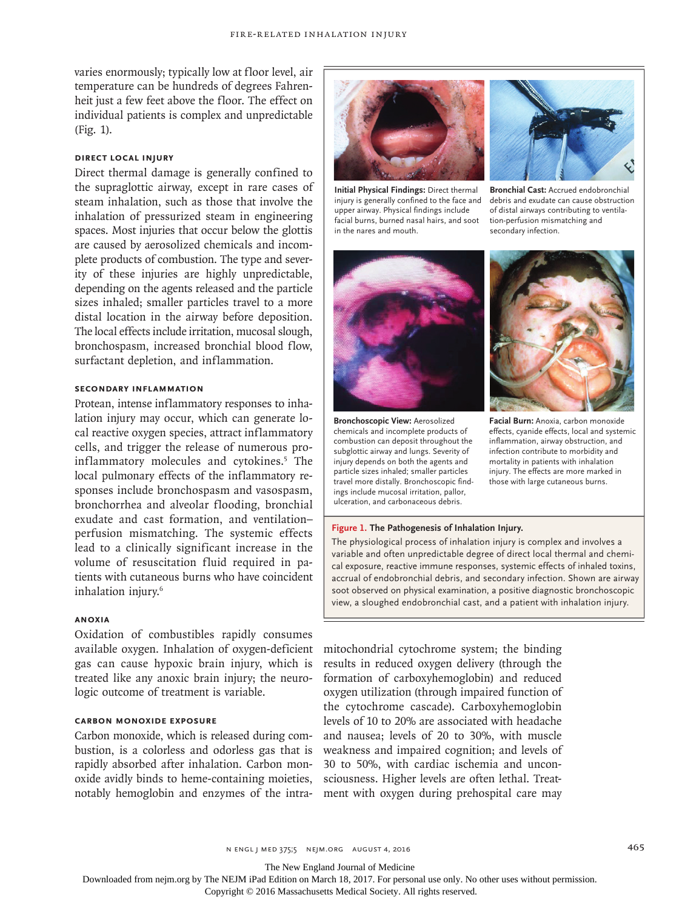varies enormously; typically low at floor level, air temperature can be hundreds of degrees Fahrenheit just a few feet above the floor. The effect on individual patients is complex and unpredictable (Fig. 1).

## **Direct Local Injury**

Direct thermal damage is generally confined to the supraglottic airway, except in rare cases of steam inhalation, such as those that involve the inhalation of pressurized steam in engineering spaces. Most injuries that occur below the glottis are caused by aerosolized chemicals and incomplete products of combustion. The type and severity of these injuries are highly unpredictable, depending on the agents released and the particle sizes inhaled; smaller particles travel to a more distal location in the airway before deposition. The local effects include irritation, mucosal slough, bronchospasm, increased bronchial blood flow, surfactant depletion, and inflammation.

## **Secondary Inflammation**

Protean, intense inflammatory responses to inhalation injury may occur, which can generate local reactive oxygen species, attract inflammatory cells, and trigger the release of numerous proinflammatory molecules and cytokines.5 The local pulmonary effects of the inflammatory responses include bronchospasm and vasospasm, bronchorrhea and alveolar flooding, bronchial exudate and cast formation, and ventilation– perfusion mismatching. The systemic effects lead to a clinically significant increase in the volume of resuscitation fluid required in patients with cutaneous burns who have coincident inhalation injury.6

## **Anoxia**

Oxidation of combustibles rapidly consumes available oxygen. Inhalation of oxygen-deficient gas can cause hypoxic brain injury, which is treated like any anoxic brain injury; the neurologic outcome of treatment is variable.

## **Carbon Monoxide Exposure**

Carbon monoxide, which is released during combustion, is a colorless and odorless gas that is rapidly absorbed after inhalation. Carbon monoxide avidly binds to heme-containing moieties, notably hemoglobin and enzymes of the intra-



**Initial Physical Findings:** Direct thermal injury is generally confined to the face and upper airway. Physical findings include facial burns, burned nasal hairs, and soot in the nares and mouth.



**Bronchial Cast:** Accrued endobronchial debris and exudate can cause obstruction of distal airways contributing to ventilation-perfusion mismatching and secondary infection.



**Bronchoscopic View:** Aerosolized chemicals and incomplete products of combustion can deposit throughout the subglottic airway and lungs. Severity of injury depends on both the agents and particle sizes inhaled; smaller particles travel more distally. Bronchoscopic findings include mucosal irritation, pallor, ulceration, and carbonaceous debris.



**Facial Burn:** Anoxia, carbon monoxide effects, cyanide effects, local and systemic inflammation, airway obstruction, and infection contribute to morbidity and mortality in patients with inhalation injury. The effects are more marked in those with large cutaneous burns.

#### **Figure 1. The Pathogenesis of Inhalation Injury.**

The physiological process of inhalation injury is complex and involves a variable and often unpredictable degree of direct local thermal and chemical exposure, reactive immune responses, systemic effects of inhaled toxins, accrual of endobronchial debris, and secondary infection. Shown are airway soot observed on physical examination, a positive diagnostic bronchoscopic view, a sloughed endobronchial cast, and a patient with inhalation injury.

mitochondrial cytochrome system; the binding results in reduced oxygen delivery (through the formation of carboxyhemoglobin) and reduced oxygen utilization (through impaired function of the cytochrome cascade). Carboxyhemoglobin levels of 10 to 20% are associated with headache and nausea; levels of 20 to 30%, with muscle weakness and impaired cognition; and levels of 30 to 50%, with cardiac ischemia and unconsciousness. Higher levels are often lethal. Treatment with oxygen during prehospital care may

n engl j med 375;5 nejm.org August 4, 2016 465

The New England Journal of Medicine

Downloaded from nejm.org by The NEJM iPad Edition on March 18, 2017. For personal use only. No other uses without permission.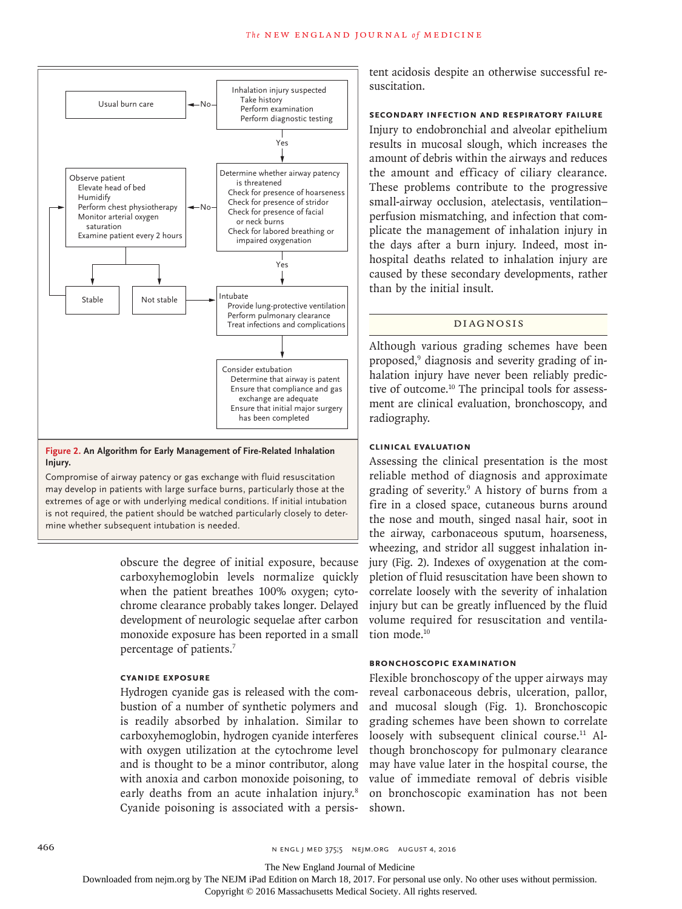

#### **Figure 2. An Algorithm for Early Management of Fire-Related Inhalation Injury.**

Compromise of airway patency or gas exchange with fluid resuscitation may develop in patients with large surface burns, particularly those at the extremes of age or with underlying medical conditions. If initial intubation is not required, the patient should be watched particularly closely to determine whether subsequent intubation is needed.

> obscure the degree of initial exposure, because carboxyhemoglobin levels normalize quickly when the patient breathes 100% oxygen; cytochrome clearance probably takes longer. Delayed development of neurologic sequelae after carbon monoxide exposure has been reported in a small percentage of patients.7

## **Cyanide Exposure**

Hydrogen cyanide gas is released with the combustion of a number of synthetic polymers and is readily absorbed by inhalation. Similar to carboxyhemoglobin, hydrogen cyanide interferes with oxygen utilization at the cytochrome level and is thought to be a minor contributor, along with anoxia and carbon monoxide poisoning, to early deaths from an acute inhalation injury.<sup>8</sup> Cyanide poisoning is associated with a persistent acidosis despite an otherwise successful resuscitation.

#### **Secondary Infection and Respiratory Failure**

Injury to endobronchial and alveolar epithelium results in mucosal slough, which increases the amount of debris within the airways and reduces the amount and efficacy of ciliary clearance. These problems contribute to the progressive small-airway occlusion, atelectasis, ventilation– perfusion mismatching, and infection that complicate the management of inhalation injury in the days after a burn injury. Indeed, most inhospital deaths related to inhalation injury are caused by these secondary developments, rather than by the initial insult.

### Diagnosis

Although various grading schemes have been proposed,9 diagnosis and severity grading of inhalation injury have never been reliably predictive of outcome.10 The principal tools for assessment are clinical evaluation, bronchoscopy, and radiography.

## **Clinical Evaluation**

Assessing the clinical presentation is the most reliable method of diagnosis and approximate grading of severity.9 A history of burns from a fire in a closed space, cutaneous burns around the nose and mouth, singed nasal hair, soot in the airway, carbonaceous sputum, hoarseness, wheezing, and stridor all suggest inhalation injury (Fig. 2). Indexes of oxygenation at the completion of fluid resuscitation have been shown to correlate loosely with the severity of inhalation injury but can be greatly influenced by the fluid volume required for resuscitation and ventilation mode.<sup>10</sup>

#### **Bronchoscopic Examination**

Flexible bronchoscopy of the upper airways may reveal carbonaceous debris, ulceration, pallor, and mucosal slough (Fig. 1). Bronchoscopic grading schemes have been shown to correlate loosely with subsequent clinical course.<sup>11</sup> Although bronchoscopy for pulmonary clearance may have value later in the hospital course, the value of immediate removal of debris visible on bronchoscopic examination has not been shown.

The New England Journal of Medicine

Downloaded from nejm.org by The NEJM iPad Edition on March 18, 2017. For personal use only. No other uses without permission.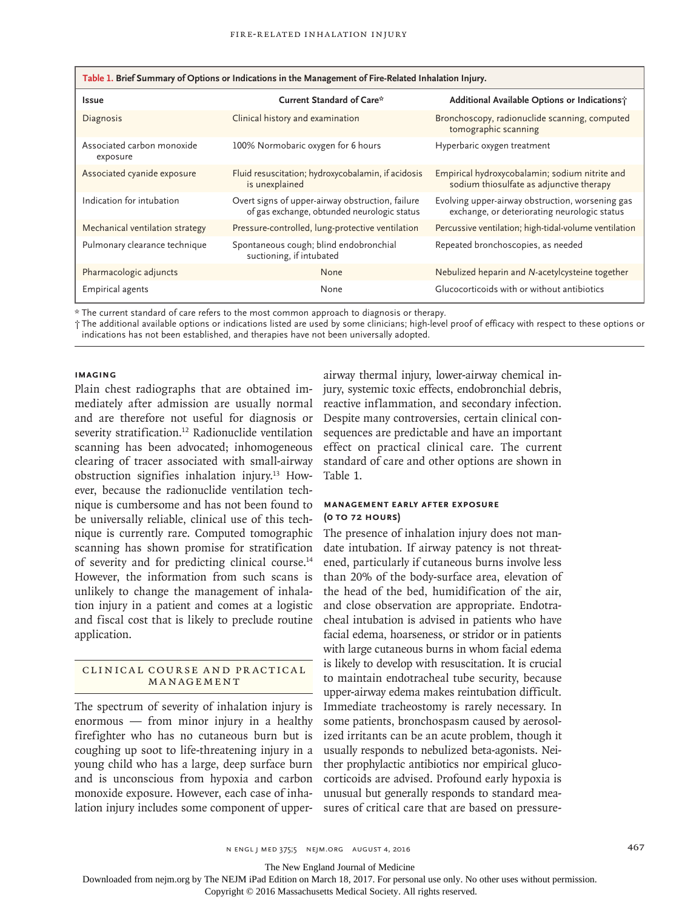| Table 1. Brief Summary of Options or Indications in the Management of Fire-Related Inhalation Injury. |                                                                                                 |                                                                                                  |
|-------------------------------------------------------------------------------------------------------|-------------------------------------------------------------------------------------------------|--------------------------------------------------------------------------------------------------|
| <b>Issue</b>                                                                                          | Current Standard of Care*                                                                       | Additional Available Options or Indications;                                                     |
| Diagnosis                                                                                             | Clinical history and examination                                                                | Bronchoscopy, radionuclide scanning, computed<br>tomographic scanning                            |
| Associated carbon monoxide<br>exposure                                                                | 100% Normobaric oxygen for 6 hours                                                              | Hyperbaric oxygen treatment                                                                      |
| Associated cyanide exposure                                                                           | Fluid resuscitation; hydroxycobalamin, if acidosis<br>is unexplained                            | Empirical hydroxycobalamin; sodium nitrite and<br>sodium thiosulfate as adjunctive therapy       |
| Indication for intubation                                                                             | Overt signs of upper-airway obstruction, failure<br>of gas exchange, obtunded neurologic status | Evolving upper-airway obstruction, worsening gas<br>exchange, or deteriorating neurologic status |
| Mechanical ventilation strategy                                                                       | Pressure-controlled, lung-protective ventilation                                                | Percussive ventilation; high-tidal-volume ventilation                                            |
| Pulmonary clearance technique                                                                         | Spontaneous cough; blind endobronchial<br>suctioning, if intubated                              | Repeated bronchoscopies, as needed                                                               |
| Pharmacologic adjuncts                                                                                | None                                                                                            | Nebulized heparin and N-acetylcysteine together                                                  |
| <b>Empirical agents</b>                                                                               | None                                                                                            | Glucocorticoids with or without antibiotics                                                      |

\* The current standard of care refers to the most common approach to diagnosis or therapy.

† The additional available options or indications listed are used by some clinicians; high-level proof of efficacy with respect to these options or indications has not been established, and therapies have not been universally adopted.

#### **Imaging**

Plain chest radiographs that are obtained immediately after admission are usually normal and are therefore not useful for diagnosis or severity stratification.<sup>12</sup> Radionuclide ventilation scanning has been advocated; inhomogeneous clearing of tracer associated with small-airway obstruction signifies inhalation injury.13 However, because the radionuclide ventilation technique is cumbersome and has not been found to be universally reliable, clinical use of this technique is currently rare. Computed tomographic scanning has shown promise for stratification of severity and for predicting clinical course.<sup>14</sup> However, the information from such scans is unlikely to change the management of inhalation injury in a patient and comes at a logistic and fiscal cost that is likely to preclude routine application.

### CLINICAL COURSE AND PRACTICAL Management

The spectrum of severity of inhalation injury is enormous — from minor injury in a healthy firefighter who has no cutaneous burn but is coughing up soot to life-threatening injury in a young child who has a large, deep surface burn and is unconscious from hypoxia and carbon monoxide exposure. However, each case of inhalation injury includes some component of upper-

airway thermal injury, lower-airway chemical injury, systemic toxic effects, endobronchial debris, reactive inflammation, and secondary infection. Despite many controversies, certain clinical consequences are predictable and have an important effect on practical clinical care. The current standard of care and other options are shown in Table 1.

## **Management Early after Exposure (0 to 72 Hours)**

The presence of inhalation injury does not mandate intubation. If airway patency is not threatened, particularly if cutaneous burns involve less than 20% of the body-surface area, elevation of the head of the bed, humidification of the air, and close observation are appropriate. Endotracheal intubation is advised in patients who have facial edema, hoarseness, or stridor or in patients with large cutaneous burns in whom facial edema is likely to develop with resuscitation. It is crucial to maintain endotracheal tube security, because upper-airway edema makes reintubation difficult. Immediate tracheostomy is rarely necessary. In some patients, bronchospasm caused by aerosolized irritants can be an acute problem, though it usually responds to nebulized beta-agonists. Neither prophylactic antibiotics nor empirical glucocorticoids are advised. Profound early hypoxia is unusual but generally responds to standard measures of critical care that are based on pressure-

The New England Journal of Medicine

Downloaded from nejm.org by The NEJM iPad Edition on March 18, 2017. For personal use only. No other uses without permission.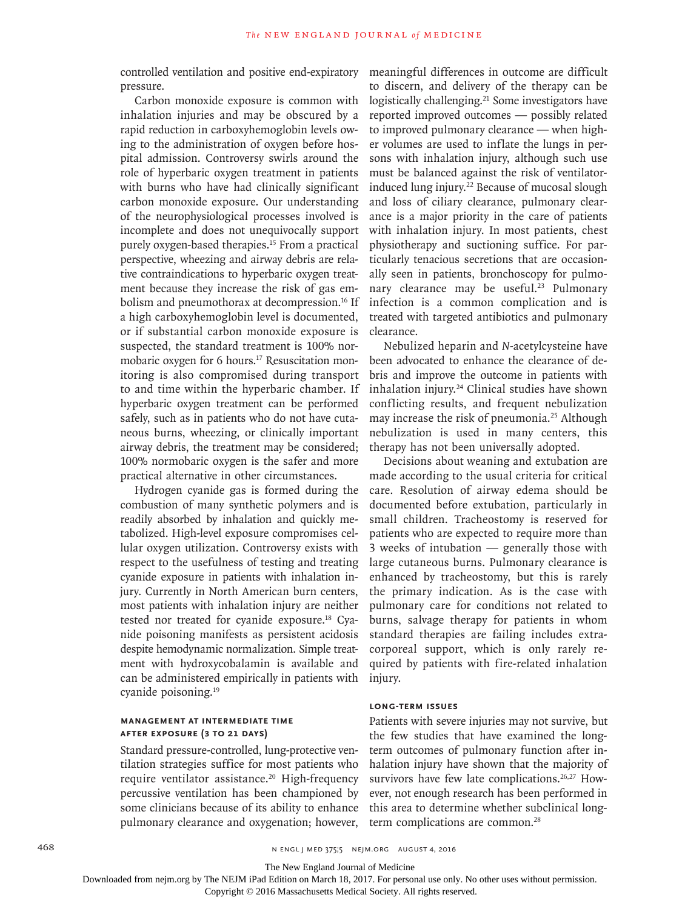controlled ventilation and positive end-expiratory pressure.

Carbon monoxide exposure is common with inhalation injuries and may be obscured by a rapid reduction in carboxyhemoglobin levels owing to the administration of oxygen before hospital admission. Controversy swirls around the role of hyperbaric oxygen treatment in patients with burns who have had clinically significant carbon monoxide exposure. Our understanding of the neurophysiological processes involved is incomplete and does not unequivocally support purely oxygen-based therapies.15 From a practical perspective, wheezing and airway debris are relative contraindications to hyperbaric oxygen treatment because they increase the risk of gas embolism and pneumothorax at decompression.16 If a high carboxyhemoglobin level is documented, or if substantial carbon monoxide exposure is suspected, the standard treatment is 100% normobaric oxygen for 6 hours.17 Resuscitation monitoring is also compromised during transport to and time within the hyperbaric chamber. If hyperbaric oxygen treatment can be performed safely, such as in patients who do not have cutaneous burns, wheezing, or clinically important airway debris, the treatment may be considered; 100% normobaric oxygen is the safer and more practical alternative in other circumstances.

Hydrogen cyanide gas is formed during the combustion of many synthetic polymers and is readily absorbed by inhalation and quickly metabolized. High-level exposure compromises cellular oxygen utilization. Controversy exists with respect to the usefulness of testing and treating cyanide exposure in patients with inhalation injury. Currently in North American burn centers, most patients with inhalation injury are neither tested nor treated for cyanide exposure.18 Cyanide poisoning manifests as persistent acidosis despite hemodynamic normalization. Simple treatment with hydroxycobalamin is available and can be administered empirically in patients with cyanide poisoning.19

## **Management at Intermediate Time after Exposure (3 to 21 Days)**

Standard pressure-controlled, lung-protective ventilation strategies suffice for most patients who require ventilator assistance.<sup>20</sup> High-frequency percussive ventilation has been championed by some clinicians because of its ability to enhance pulmonary clearance and oxygenation; however,

meaningful differences in outcome are difficult to discern, and delivery of the therapy can be logistically challenging.<sup>21</sup> Some investigators have reported improved outcomes — possibly related to improved pulmonary clearance — when higher volumes are used to inflate the lungs in persons with inhalation injury, although such use must be balanced against the risk of ventilatorinduced lung injury.<sup>22</sup> Because of mucosal slough and loss of ciliary clearance, pulmonary clearance is a major priority in the care of patients with inhalation injury. In most patients, chest physiotherapy and suctioning suffice. For particularly tenacious secretions that are occasionally seen in patients, bronchoscopy for pulmonary clearance may be useful.<sup>23</sup> Pulmonary infection is a common complication and is treated with targeted antibiotics and pulmonary clearance.

Nebulized heparin and *N*-acetylcysteine have been advocated to enhance the clearance of debris and improve the outcome in patients with inhalation injury.<sup>24</sup> Clinical studies have shown conflicting results, and frequent nebulization may increase the risk of pneumonia.<sup>25</sup> Although nebulization is used in many centers, this therapy has not been universally adopted.

Decisions about weaning and extubation are made according to the usual criteria for critical care. Resolution of airway edema should be documented before extubation, particularly in small children. Tracheostomy is reserved for patients who are expected to require more than 3 weeks of intubation — generally those with large cutaneous burns. Pulmonary clearance is enhanced by tracheostomy, but this is rarely the primary indication. As is the case with pulmonary care for conditions not related to burns, salvage therapy for patients in whom standard therapies are failing includes extracorporeal support, which is only rarely required by patients with fire-related inhalation injury.

## **Long-Term Issues**

Patients with severe injuries may not survive, but the few studies that have examined the longterm outcomes of pulmonary function after inhalation injury have shown that the majority of survivors have few late complications.<sup>26,27</sup> However, not enough research has been performed in this area to determine whether subclinical longterm complications are common.<sup>28</sup>

468 **n ENGL j MENGL j MENGL j MENGL j MENGL** j metal in media 375;5 nejm.org August 4, 2016

The New England Journal of Medicine

Downloaded from nejm.org by The NEJM iPad Edition on March 18, 2017. For personal use only. No other uses without permission.